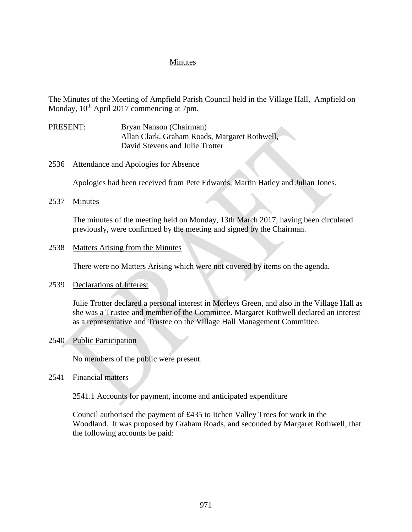## Minutes

The Minutes of the Meeting of Ampfield Parish Council held in the Village Hall, Ampfield on Monday,  $10^{th}$  April 2017 commencing at 7pm.

- PRESENT: Bryan Nanson (Chairman) Allan Clark, Graham Roads, Margaret Rothwell, David Stevens and Julie Trotter
- 2536 Attendance and Apologies for Absence

Apologies had been received from Pete Edwards, Martin Hatley and Julian Jones.

2537 Minutes

The minutes of the meeting held on Monday, 13th March 2017, having been circulated previously, were confirmed by the meeting and signed by the Chairman.

#### 2538 Matters Arising from the Minutes

There were no Matters Arising which were not covered by items on the agenda.

### 2539 Declarations of Interest

Julie Trotter declared a personal interest in Morleys Green, and also in the Village Hall as she was a Trustee and member of the Committee. Margaret Rothwell declared an interest as a representative and Trustee on the Village Hall Management Committee.

### 2540 Public Participation

No members of the public were present.

2541 Financial matters

### 2541.1 Accounts for payment, income and anticipated expenditure

Council authorised the payment of £435 to Itchen Valley Trees for work in the Woodland. It was proposed by Graham Roads, and seconded by Margaret Rothwell, that the following accounts be paid: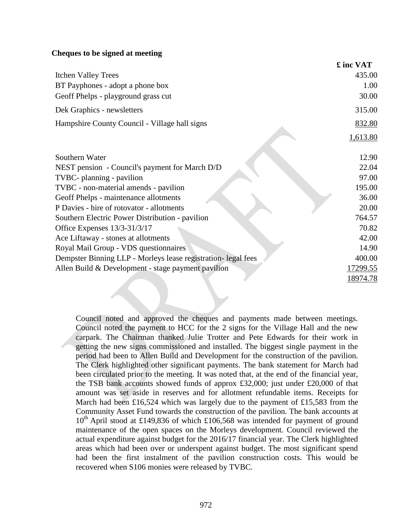### **Cheques to be signed at meeting**

|                                                               | £ inc VAT |
|---------------------------------------------------------------|-----------|
| <b>Itchen Valley Trees</b>                                    | 435.00    |
| BT Payphones - adopt a phone box                              | 1.00      |
| Geoff Phelps - playground grass cut                           | 30.00     |
| Dek Graphics - newsletters                                    | 315.00    |
| Hampshire County Council - Village hall signs                 | 832.80    |
|                                                               | 1,613.80  |
| Southern Water                                                | 12.90     |
| NEST pension - Council's payment for March D/D                | 22.04     |
| TVBC- planning - pavilion                                     | 97.00     |
| TVBC - non-material amends - pavilion                         | 195.00    |
| Geoff Phelps - maintenance allotments                         | 36.00     |
| P Davies - hire of rotovator - allotments                     | 20.00     |
| Southern Electric Power Distribution - pavilion               | 764.57    |
| Office Expenses 13/3-31/3/17                                  | 70.82     |
| Ace Liftaway - stones at allotments                           | 42.00     |
| Royal Mail Group - VDS questionnaires                         | 14.90     |
| Dempster Binning LLP - Morleys lease registration- legal fees | 400.00    |
| Allen Build & Development - stage payment pavilion            | 17299.55  |
|                                                               | 18974.78  |

Council noted and approved the cheques and payments made between meetings. Council noted the payment to HCC for the 2 signs for the Village Hall and the new carpark. The Chairman thanked Julie Trotter and Pete Edwards for their work in getting the new signs commissioned and installed. The biggest single payment in the period had been to Allen Build and Development for the construction of the pavilion. The Clerk highlighted other significant payments. The bank statement for March had been circulated prior to the meeting. It was noted that, at the end of the financial year, the TSB bank accounts showed funds of approx £32,000; just under £20,000 of that amount was set aside in reserves and for allotment refundable items. Receipts for March had been £16,524 which was largely due to the payment of £15,583 from the Community Asset Fund towards the construction of the pavilion. The bank accounts at 10<sup>th</sup> April stood at £149,836 of which £106,568 was intended for payment of ground maintenance of the open spaces on the Morleys development. Council reviewed the actual expenditure against budget for the 2016/17 financial year. The Clerk highlighted areas which had been over or underspent against budget. The most significant spend had been the first instalment of the pavilion construction costs. This would be recovered when S106 monies were released by TVBC.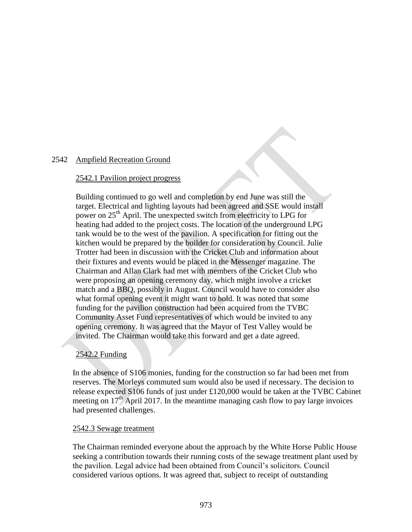### 2542 Ampfield Recreation Ground

#### 2542.1 Pavilion project progress

Building continued to go well and completion by end June was still the target. Electrical and lighting layouts had been agreed and SSE would install power on 25<sup>th</sup> April. The unexpected switch from electricity to LPG for heating had added to the project costs. The location of the underground LPG tank would be to the west of the pavilion. A specification for fitting out the kitchen would be prepared by the builder for consideration by Council. Julie Trotter had been in discussion with the Cricket Club and information about their fixtures and events would be placed in the Messenger magazine. The Chairman and Allan Clark had met with members of the Cricket Club who were proposing an opening ceremony day, which might involve a cricket match and a BBQ, possibly in August. Council would have to consider also what formal opening event it might want to hold. It was noted that some funding for the pavilion construction had been acquired from the TVBC Community Asset Fund representatives of which would be invited to any opening ceremony. It was agreed that the Mayor of Test Valley would be invited. The Chairman would take this forward and get a date agreed.

### **2542.2 Funding 262.04 Funding 262.04 Funding 262.04 Funding 262.04 Funding 262.04 Funding 263.04 Funding 263.04 Funding 263.04 Funding 263.04 Funding 263.04 Funding 264.04 Funding 264.04 Funding 264.04 Funding 264.04 Fund**

In the absence of S106 monies, funding for the construction so far had been met from reserves. The Morleys commuted sum would also be used if necessary. The decision to release expected S106 funds of just under £120,000 would be taken at the TVBC Cabinet meeting on  $17<sup>th</sup>$  April 2017. In the meantime managing cash flow to pay large invoices had presented challenges.

#### 2542.3 Sewage treatment

The Chairman reminded everyone about the approach by the White Horse Public House seeking a contribution towards their running costs of the sewage treatment plant used by the pavilion. Legal advice had been obtained from Council's solicitors. Council considered various options. It was agreed that, subject to receipt of outstanding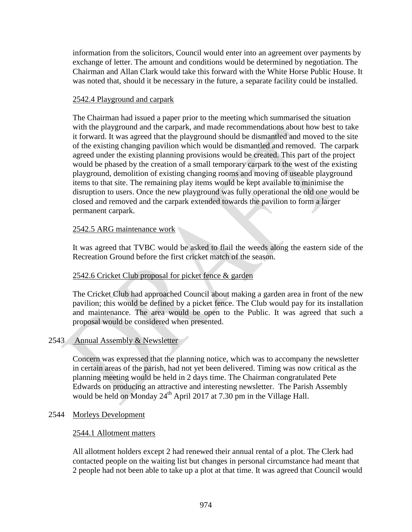information from the solicitors, Council would enter into an agreement over payments by exchange of letter. The amount and conditions would be determined by negotiation. The Chairman and Allan Clark would take this forward with the White Horse Public House. It was noted that, should it be necessary in the future, a separate facility could be installed.

## 2542.4 Playground and carpark

The Chairman had issued a paper prior to the meeting which summarised the situation with the playground and the carpark, and made recommendations about how best to take it forward. It was agreed that the playground should be dismantled and moved to the site of the existing changing pavilion which would be dismantled and removed. The carpark agreed under the existing planning provisions would be created. This part of the project would be phased by the creation of a small temporary carpark to the west of the existing playground, demolition of existing changing rooms and moving of useable playground items to that site. The remaining play items would be kept available to minimise the disruption to users. Once the new playground was fully operational the old one would be closed and removed and the carpark extended towards the pavilion to form a larger permanent carpark.

## 2542.5 ARG maintenance work

It was agreed that TVBC would be asked to flail the weeds along the eastern side of the Recreation Ground before the first cricket match of the season.

# 2542.6 Cricket Club proposal for picket fence & garden

The Cricket Club had approached Council about making a garden area in front of the new pavilion; this would be defined by a picket fence. The Club would pay for its installation and maintenance. The area would be open to the Public. It was agreed that such a proposal would be considered when presented.

### 2543 Annual Assembly & Newsletter

Concern was expressed that the planning notice, which was to accompany the newsletter in certain areas of the parish, had not yet been delivered. Timing was now critical as the planning meeting would be held in 2 days time. The Chairman congratulated Pete Edwards on producing an attractive and interesting newsletter. The Parish Assembly would be held on Monday  $24<sup>th</sup>$  April 2017 at 7.30 pm in the Village Hall.

### 2544 Morleys Development

### 2544.1 Allotment matters

All allotment holders except 2 had renewed their annual rental of a plot. The Clerk had contacted people on the waiting list but changes in personal circumstance had meant that 2 people had not been able to take up a plot at that time. It was agreed that Council would